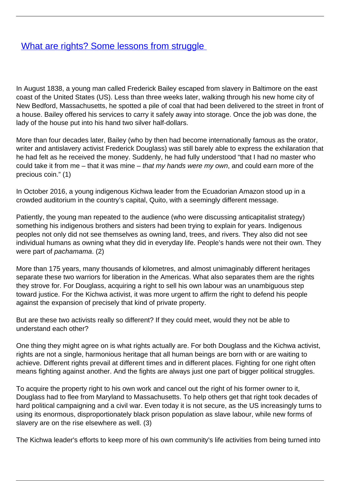## **[What are rights? Some lessons from struggle](/bulletin-articles/what-are-rights-some-lessons-from-struggle)**

In August 1838, a young man called Frederick Bailey escaped from slavery in Baltimore on the east coast of the United States (US). Less than three weeks later, walking through his new home city of New Bedford, Massachusetts, he spotted a pile of coal that had been delivered to the street in front of a house. Bailey offered his services to carry it safely away into storage. Once the job was done, the lady of the house put into his hand two silver half-dollars.

More than four decades later, Bailey (who by then had become internationally famous as the orator, writer and antislavery activist Frederick Douglass) was still barely able to express the exhilaration that he had felt as he received the money. Suddenly, he had fully understood "that I had no master who could take it from me – that it was mine – that my hands were my own, and could earn more of the precious coin." (1)

In October 2016, a young indigenous Kichwa leader from the Ecuadorian Amazon stood up in a crowded auditorium in the country's capital, Quito, with a seemingly different message.

Patiently, the young man repeated to the audience (who were discussing anticapitalist strategy) something his indigenous brothers and sisters had been trying to explain for years. Indigenous peoples not only did not see themselves as owning land, trees, and rivers. They also did not see individual humans as owning what they did in everyday life. People's hands were not their own. They were part of pachamama. (2)

More than 175 years, many thousands of kilometres, and almost unimaginably different heritages separate these two warriors for liberation in the Americas. What also separates them are the rights they strove for. For Douglass, acquiring a right to sell his own labour was an unambiguous step toward justice. For the Kichwa activist, it was more urgent to affirm the right to defend his people against the expansion of precisely that kind of private property.

But are these two activists really so different? If they could meet, would they not be able to understand each other?

One thing they might agree on is what rights actually are. For both Douglass and the Kichwa activist, rights are not a single, harmonious heritage that all human beings are born with or are waiting to achieve. Different rights prevail at different times and in different places. Fighting for one right often means fighting against another. And the fights are always just one part of bigger political struggles.

To acquire the property right to his own work and cancel out the right of his former owner to it, Douglass had to flee from Maryland to Massachusetts. To help others get that right took decades of hard political campaigning and a civil war. Even today it is not secure, as the US increasingly turns to using its enormous, disproportionately black prison population as slave labour, while new forms of slavery are on the rise elsewhere as well. (3)

The Kichwa leader's efforts to keep more of his own community's life activities from being turned into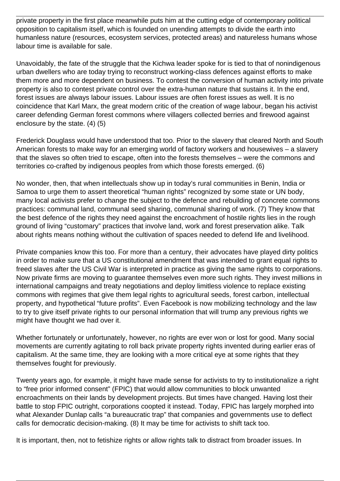private property in the first place meanwhile puts him at the cutting edge of contemporary political opposition to capitalism itself, which is founded on unending attempts to divide the earth into humanless nature (resources, ecosystem services, protected areas) and natureless humans whose labour time is available for sale.

Unavoidably, the fate of the struggle that the Kichwa leader spoke for is tied to that of nonindigenous urban dwellers who are today trying to reconstruct working-class defences against efforts to make them more and more dependent on business. To contest the conversion of human activity into private property is also to contest private control over the extra-human nature that sustains it. In the end, forest issues are always labour issues. Labour issues are often forest issues as well. It is no coincidence that Karl Marx, the great modern critic of the creation of wage labour, began his activist career defending German forest commons where villagers collected berries and firewood against enclosure by the state. (4) (5)

Frederick Douglass would have understood that too. Prior to the slavery that cleared North and South American forests to make way for an emerging world of factory workers and housewives – a slavery that the slaves so often tried to escape, often into the forests themselves – were the commons and territories co-crafted by indigenous peoples from which those forests emerged. (6)

No wonder, then, that when intellectuals show up in today's rural communities in Benin, India or Samoa to urge them to assert theoretical "human rights" recognized by some state or UN body, many local activists prefer to change the subject to the defence and rebuilding of concrete commons practices: communal land, communal seed sharing, communal sharing of work. (7) They know that the best defence of the rights they need against the encroachment of hostile rights lies in the rough ground of living "customary" practices that involve land, work and forest preservation alike. Talk about rights means nothing without the cultivation of spaces needed to defend life and livelihood.

Private companies know this too. For more than a century, their advocates have played dirty politics in order to make sure that a US constitutional amendment that was intended to grant equal rights to freed slaves after the US Civil War is interpreted in practice as giving the same rights to corporations. Now private firms are moving to guarantee themselves even more such rights. They invest millions in international campaigns and treaty negotiations and deploy limitless violence to replace existing commons with regimes that give them legal rights to agricultural seeds, forest carbon, intellectual property, and hypothetical "future profits". Even Facebook is now mobilizing technology and the law to try to give itself private rights to our personal information that will trump any previous rights we might have thought we had over it.

Whether fortunately or unfortunately, however, no rights are ever won or lost for good. Many social movements are currently agitating to roll back private property rights invented during earlier eras of capitalism. At the same time, they are looking with a more critical eye at some rights that they themselves fought for previously.

Twenty years ago, for example, it might have made sense for activists to try to institutionalize a right to "free prior informed consent" (FPIC) that would allow communities to block unwanted encroachments on their lands by development projects. But times have changed. Having lost their battle to stop FPIC outright, corporations coopted it instead. Today, FPIC has largely morphed into what Alexander Dunlap calls "a bureaucratic trap" that companies and governments use to deflect calls for democratic decision-making. (8) It may be time for activists to shift tack too.

It is important, then, not to fetishize rights or allow rights talk to distract from broader issues. In